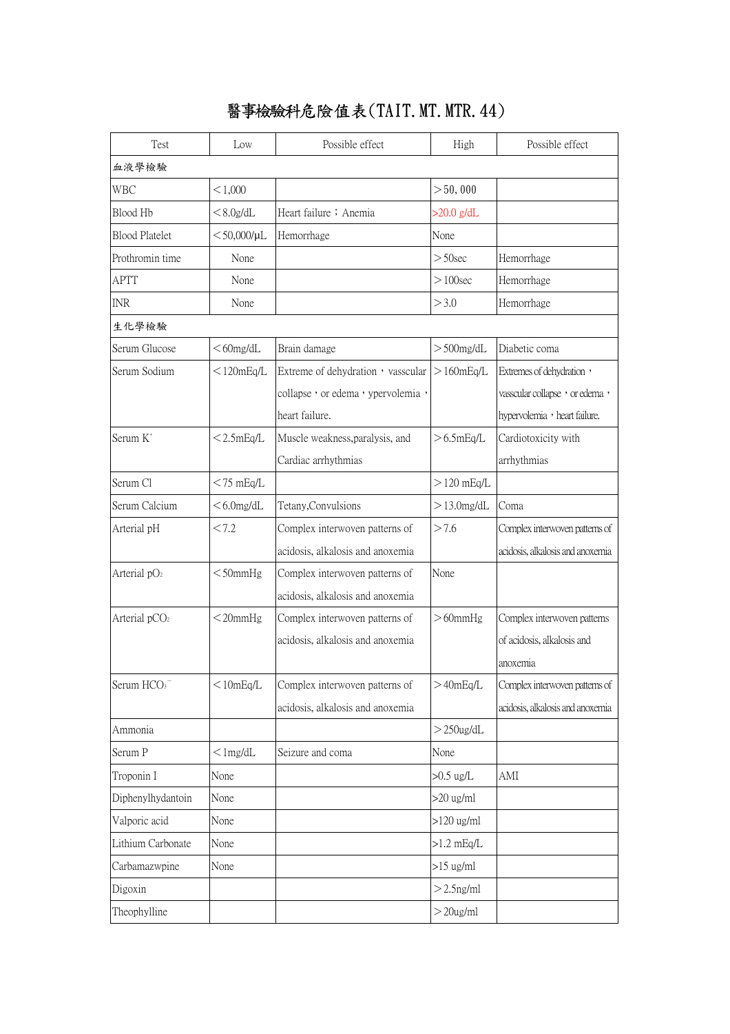## 醫事檢驗科危險值表(TAIT.MT.MTR.44)

| Test                      | Low                 | Possible effect                   | High            | Possible effect                  |  |  |  |
|---------------------------|---------------------|-----------------------------------|-----------------|----------------------------------|--|--|--|
| 血液學檢驗                     |                     |                                   |                 |                                  |  |  |  |
| WBC                       | < 1,000             |                                   | >50,000         |                                  |  |  |  |
| Blood Hb                  | $< 8.0$ g/dL        | Heart failure; Anemia             | $>20.0$ g/dL    |                                  |  |  |  |
| <b>Blood Platelet</b>     | $<$ 50,000/ $\mu$ L | Hemorrhage                        | None            |                                  |  |  |  |
| Prothromin time           | None                |                                   | $> 50$ sec      | Hemorrhage                       |  |  |  |
| <b>APTT</b>               | None                |                                   | $>100$ sec      | Hemorrhage                       |  |  |  |
| <b>INR</b>                | None                |                                   | >3.0            | Hemorrhage                       |  |  |  |
| 生化學檢驗                     |                     |                                   |                 |                                  |  |  |  |
| Serum Glucose             | $<$ 60mg/dL         | Brain damage                      | $>$ 500 $mg/dL$ | Diabetic coma                    |  |  |  |
| Serum Sodium              | $<$ 120mEq/L        | Extreme of dehydration, vasscular | $>160$ mEq/L    | Extremes of dehydration,         |  |  |  |
|                           |                     | collapse, or edema, ypervolemia,  |                 | vasscular collapse, or edema,    |  |  |  |
|                           |                     | heart failure.                    |                 | hypervolemia , heart failure.    |  |  |  |
| Serum K <sup>+</sup>      | $<$ 2.5mEq/L        | Muscle weakness, paralysis, and   | $>6.5$ mEq/L    | Cardiotoxicity with              |  |  |  |
|                           |                     | Cardiac arrhythmias               |                 | arrhythmias                      |  |  |  |
| Serum Cl                  | $<$ 75 mEq/L        |                                   | $>120$ mEq/L    |                                  |  |  |  |
| Serum Calcium             | $<$ 6.0 mg/dL       | Tetany, Convulsions               | $>13.0$ mg/dL   | Coma                             |  |  |  |
| Arterial pH               | < 7.2               | Complex interwoven patterns of    | >7.6            | Complex interwoven patterns of   |  |  |  |
|                           |                     | acidosis, alkalosis and anoxemia  |                 | acidosis, alkalosis and anoxemia |  |  |  |
| Arterial pO <sub>2</sub>  | $<$ 50mmHg          | Complex interwoven patterns of    | None            |                                  |  |  |  |
|                           |                     | acidosis, alkalosis and anoxemia  |                 |                                  |  |  |  |
| Arterial pCO <sub>2</sub> | $<$ 20 $mm$ Hg      | Complex interwoven patterns of    | $>60$ mm $Hg$   | Complex interwoven patterns      |  |  |  |
|                           |                     | acidosis, alkalosis and anoxemia  |                 | of acidosis, alkalosis and       |  |  |  |
|                           |                     |                                   |                 | anoxemia                         |  |  |  |
| Serum HCO <sub>3</sub>    | $<$ 10mEq/L         | Complex interwoven patterns of    | >40mEq/L        | Complex interwoven patterns of   |  |  |  |
|                           |                     | acidosis, alkalosis and anoxemia  |                 | acidosis, alkalosis and anoxemia |  |  |  |
| Ammonia                   |                     |                                   | $>$ 250ug/dL    |                                  |  |  |  |
| Serum P                   | $<$ 1mg/dL          | Seizure and coma                  | None            |                                  |  |  |  |
| Troponin I                | None                |                                   | $>0.5$ ug/L     | AMI                              |  |  |  |
| Diphenylhydantoin         | None                |                                   | $>20$ ug/ml     |                                  |  |  |  |
| Valporic acid             | None                |                                   | $>120$ ug/ml    |                                  |  |  |  |
| Lithium Carbonate         | None                |                                   | $>1.2$ mEq/L    |                                  |  |  |  |
| Carbamazwpine             | None                |                                   | $>15$ ug/ml     |                                  |  |  |  |
| Digoxin                   |                     |                                   | $>$ 2.5 ng/ml   |                                  |  |  |  |
| Theophylline              |                     |                                   | $>$ 20ug/ml     |                                  |  |  |  |